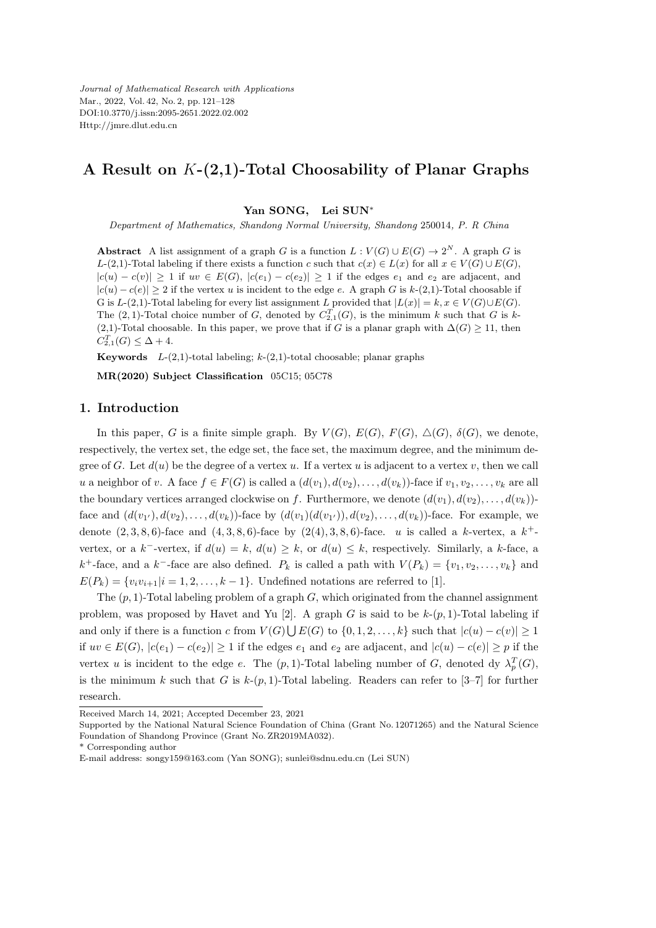*Journal of Mathematical Research with Applications* Mar., 2022, Vol. 42, No. 2, pp. 121–128 DOI:10.3770/j.issn:2095-2651.2022.02.002 Http://jmre.dlut.edu.cn

# **A Result on** *K***-(2,1)-Total Choosability of Planar Graphs**

#### **Yan SONG, Lei SUN***<sup>∗</sup>*

*Department of Mathematics, Shandong Normal University, Shandong* 250014*, P. R China*

**Abstract** A list assignment of a graph *G* is a function  $L: V(G) \cup E(G) \rightarrow 2^N$ . A graph *G* is *L*-(2,1)-Total labeling if there exists a function *c* such that  $c(x) \in L(x)$  for all  $x \in V(G) \cup E(G)$ ,  $|c(u)-c(v)| \geq 1$  if  $uv \in E(G)$ ,  $|c(e_1)-c(e_2)| \geq 1$  if the edges  $e_1$  and  $e_2$  are adjacent, and  $|c(u) - c(e)|$  ≥ 2 if the vertex *u* is incident to the edge *e*. A graph *G* is *k*-(2,1)-Total choosable if G is *L*-(2,1)-Total labeling for every list assignment *L* provided that  $|L(x)| = k$ ,  $x \in V(G) \cup E(G)$ . The  $(2, 1)$ -Total choice number of *G*, denoted by  $C_{2,1}^T(G)$ , is the minimum *k* such that *G* is *k*-(2,1)-Total choosable. In this paper, we prove that if *G* is a planar graph with  $\Delta(G) \geq 11$ , then  $C_{2,1}^T(G) \leq \Delta + 4.$ 

**Keywords** *L*-(2,1)-total labeling; *k*-(2,1)-total choosable; planar graphs

**MR(2020) Subject Classification** 05C15; 05C78

# **1. Introduction**

In this paper, *G* is a finite simple graph. By  $V(G)$ ,  $E(G)$ ,  $F(G)$ ,  $\Delta(G)$ ,  $\delta(G)$ , we denote, respectively, the vertex set, the edge set, the face set, the maximum degree, and the minimum degree of *G*. Let  $d(u)$  be the degree of a vertex *u*. If a vertex *u* is adjacent to a vertex *v*, then we call u a neighbor of v. A face  $f \in F(G)$  is called a  $(d(v_1), d(v_2), \ldots, d(v_k))$ -face if  $v_1, v_2, \ldots, v_k$  are all the boundary vertices arranged clockwise on *f*. Furthermore, we denote  $(d(v_1), d(v_2), \ldots, d(v_k))$ face and  $(d(v_{1'}), d(v_{2}),..., d(v_{k}))$ -face by  $(d(v_{1})(d(v_{1'})), d(v_{2}),..., d(v_{k}))$ -face. For example, we denote  $(2, 3, 8, 6)$ -face and  $(4, 3, 8, 6)$ -face by  $(2(4), 3, 8, 6)$ -face. *u* is called a *k*-vertex, a  $k^+$ vertex, or a  $k^-$ -vertex, if  $d(u) = k$ ,  $d(u) \geq k$ , or  $d(u) \leq k$ , respectively. Similarly, a  $k$ -face, a  $k^+$ -face, and a  $k^-$ -face are also defined.  $P_k$  is called a path with  $V(P_k) = \{v_1, v_2, \ldots, v_k\}$  and  $E(P_k) = \{v_i v_{i+1} | i = 1, 2, \ldots, k-1\}$ . Undefined notations are referred to [1].

The (*p,* 1)-Total labeling problem of a graph *G*, which originated from the channel assignment problem, was proposed by Havet and Yu [2]. A graph *G* is said to be  $k-(p,1)$ -Total labeling if and only if there is a function *c* from  $V(G) \cup E(G)$  to  $\{0, 1, 2, \ldots, k\}$  such that  $|c(u) - c(v)| \geq 1$ if  $uv \in E(G)$ ,  $|c(e_1) - c(e_2)| \ge 1$  if the edges  $e_1$  and  $e_2$  are adjacent, and  $|c(u) - c(e)| \ge p$  if the vertex *u* is incident to the edge *e*. The  $(p, 1)$ -Total labeling number of *G*, denoted dy  $\lambda_p^T(G)$ , is the minimum *k* such that *G* is  $k-(p, 1)$ -Total labeling. Readers can refer to [3–7] for further research.

Received March 14, 2021; Accepted December 23, 2021

Supported by the National Natural Science Foundation of China (Grant No. 12071265) and the Natural Science Foundation of Shandong Province (Grant No. ZR2019MA032).

<sup>\*</sup> Corresponding author

E-mail address: songy159@163.com (Yan SONG); sunlei@sdnu.edu.cn (Lei SUN)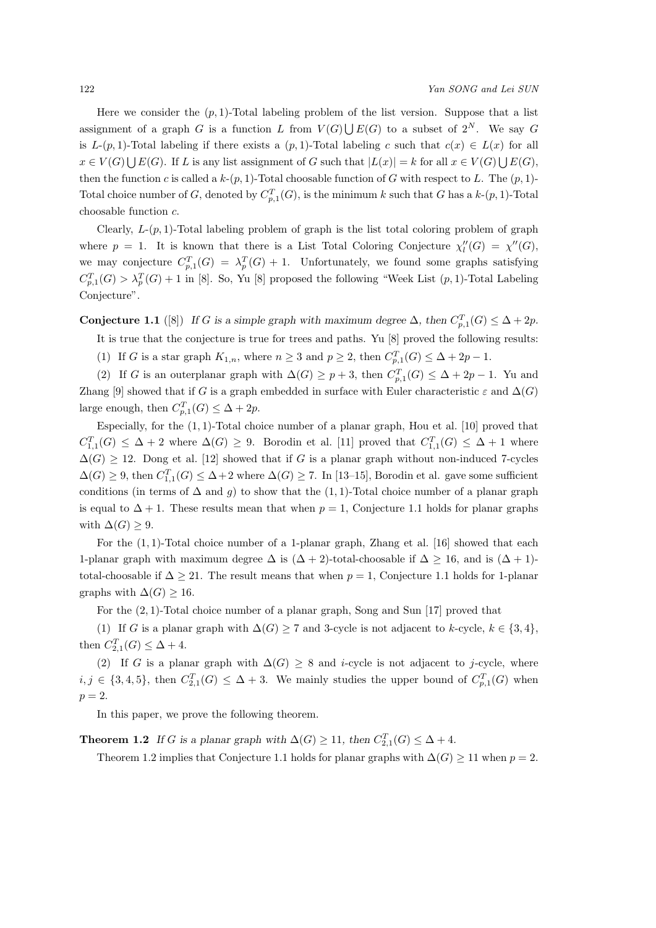Here we consider the  $(p, 1)$ -Total labeling problem of the list version. Suppose that a list assignment of a graph *G* is a function *L* from  $V(G) \bigcup E(G)$  to a subset of  $2^N$ . We say *G* is  $L(p, 1)$ -Total labeling if there exists a  $(p, 1)$ -Total labeling *c* such that  $c(x) \in L(x)$  for all  $x \in V(G) \cup E(G)$ . If L is any list assignment of G such that  $|L(x)| = k$  for all  $x \in V(G) \cup E(G)$ , then the function *c* is called a  $k-(p, 1)$ -Total choosable function of *G* with respect to *L*. The  $(p, 1)$ -Total choice number of *G*, denoted by  $C_{p,1}^T(G)$ , is the minimum *k* such that *G* has a *k*-(*p*, 1)-Total choosable function *c*.

Clearly,  $L-(p, 1)$ -Total labeling problem of graph is the list total coloring problem of graph where  $p = 1$ . It is known that there is a List Total Coloring Conjecture  $\chi''_l(G) = \chi''(G)$ , we may conjecture  $C_{p,1}^T(G) = \lambda_p^T(G) + 1$ . Unfortunately, we found some graphs satisfying  $C_{p,1}^T(G) > \lambda_p^T(G) + 1$  in [8]. So, Yu [8] proposed the following "Week List  $(p,1)$ -Total Labeling Conjecture".

**Conjecture 1.1** ([8]) *If G* is a simple graph with maximum degree  $\Delta$ , then  $C_{p,1}^T(G) \leq \Delta + 2p$ .

- It is true that the conjecture is true for trees and paths. Yu [8] proved the following results: (1) If *G* is a star graph  $K_{1,n}$ , where  $n \geq 3$  and  $p \geq 2$ , then  $C_{p,1}^T(G) \leq \Delta + 2p - 1$ .
- 

(2) If *G* is an outerplanar graph with  $\Delta(G) \geq p+3$ , then  $C_{p,1}^T(G) \leq \Delta + 2p - 1$ . Yu and Zhang [9] showed that if *G* is a graph embedded in surface with Euler characteristic  $\varepsilon$  and  $\Delta(G)$ large enough, then  $C_{p,1}^T(G) \leq \Delta + 2p$ .

Especially, for the (1*,* 1)-Total choice number of a planar graph, Hou et al. [10] proved that  $C_{1,1}^T(G)$  ≤ ∆ + 2 where  $\Delta(G)$  ≥ 9. Borodin et al. [11] proved that  $C_{1,1}^T(G)$  ≤ ∆ + 1 where  $\Delta(G) \geq 12$ . Dong et al. [12] showed that if *G* is a planar graph without non-induced 7-cycles  $\Delta(G) \geq 9$ , then  $C_{1,1}^T(G) \leq \Delta + 2$  where  $\Delta(G) \geq 7$ . In [13–15], Borodin et al. gave some sufficient conditions (in terms of  $\Delta$  and *g*) to show that the (1,1)-Total choice number of a planar graph is equal to  $\Delta + 1$ . These results mean that when  $p = 1$ , Conjecture 1.1 holds for planar graphs with  $\Delta(G) > 9$ .

For the (1*,* 1)-Total choice number of a 1-planar graph, Zhang et al. [16] showed that each 1-planar graph with maximum degree  $\Delta$  is  $(\Delta + 2)$ -total-choosable if  $\Delta > 16$ , and is  $(\Delta + 1)$ total-choosable if  $\Delta \geq 21$ . The result means that when  $p=1$ , Conjecture 1.1 holds for 1-planar graphs with  $\Delta(G) \geq 16$ .

For the (2*,* 1)-Total choice number of a planar graph, Song and Sun [17] proved that

(1) If *G* is a planar graph with  $\Delta(G) \geq 7$  and 3-cycle is not adjacent to *k*-cycle,  $k \in \{3, 4\}$ , then  $C_{2,1}^T(G) \leq \Delta + 4$ .

(2) If *G* is a planar graph with  $\Delta(G) \geq 8$  and *i*-cycle is not adjacent to *j*-cycle, where  $i, j \in \{3, 4, 5\}$ , then  $C_{2,1}^T(G) \leq \Delta + 3$ . We mainly studies the upper bound of  $C_{p,1}^T(G)$  when  $p = 2.$ 

In this paper, we prove the following theorem.

**Theorem 1.2** *If G is a planar graph with*  $\Delta(G) \geq 11$ *, then*  $C_{2,1}^T(G) \leq \Delta + 4$ *.* 

Theorem 1.2 implies that Conjecture 1.1 holds for planar graphs with  $\Delta(G) \geq 11$  when  $p = 2$ .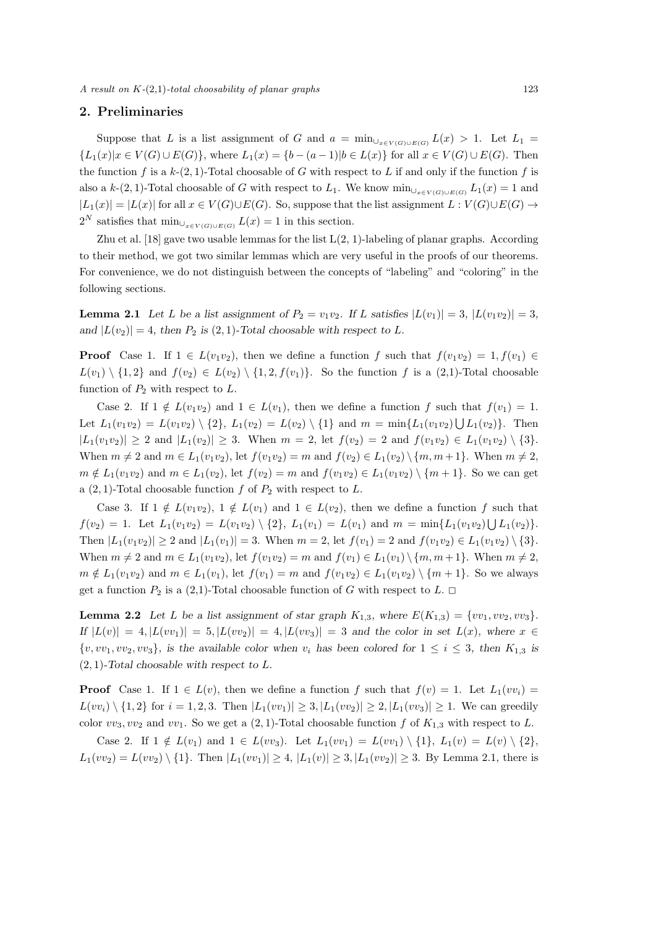*A result on K-*(2*,*1)*-total choosability of planar graphs* 123

# **2. Preliminaries**

Suppose that *L* is a list assignment of *G* and  $a = \min_{\bigcup_{x \in V(G) \cup E(G)}} L(x) > 1$ . Let  $L_1 =$  $\{L_1(x)|x \in V(G) \cup E(G)\}\$ , where  $L_1(x) = \{b - (a-1)|b \in L(x)\}\$  for all  $x \in V(G) \cup E(G)\$ . Then the function  $f$  is a  $k$ -(2, 1)-Total choosable of  $G$  with respect to  $L$  if and only if the function  $f$  is also a  $k$ -(2, 1)-Total choosable of *G* with respect to  $L_1$ . We know  $\min_{\bigcup_{x \in V(G) \cup E(G)}} L_1(x) = 1$  and  $|L_1(x)| = |L(x)|$  for all  $x \in V(G) \cup E(G)$ . So, suppose that the list assignment  $L: V(G) \cup E(G) \rightarrow$  $2^N$  satisfies that  $\min_{\bigcup_{x \in V(G) \cup E(G)}} L(x) = 1$  in this section.

Zhu et al. [18] gave two usable lemmas for the list  $L(2, 1)$ -labeling of planar graphs. According to their method, we got two similar lemmas which are very useful in the proofs of our theorems. For convenience, we do not distinguish between the concepts of "labeling" and "coloring" in the following sections.

**Lemma 2.1** Let L be a list assignment of  $P_2 = v_1v_2$ . If L satisfies  $|L(v_1)| = 3$ ,  $|L(v_1v_2)| = 3$ , *and*  $|L(v_2)| = 4$ *, then*  $P_2$  *is* (2*,* 1)*-Total choosable with respect to L.* 

**Proof** Case 1. If  $1 \in L(v_1v_2)$ , then we define a function *f* such that  $f(v_1v_2) = 1, f(v_1) \in$ *L*(*v*<sub>1</sub>)  $\setminus$  {1, 2} and *f*(*v*<sub>2</sub>) ∈ *L*(*v*<sub>2</sub>)  $\setminus$  {1, 2*, f*(*v*<sub>1</sub>)}. So the function *f* is a (2,1)-Total choosable function of *P*<sup>2</sup> with respect to *L*.

Case 2. If  $1 \notin L(v_1v_2)$  and  $1 \in L(v_1)$ , then we define a function *f* such that  $f(v_1) = 1$ . Let  $L_1(v_1v_2) = L(v_1v_2) \setminus \{2\}$ ,  $L_1(v_2) = L(v_2) \setminus \{1\}$  and  $m = \min\{L_1(v_1v_2) \cup L_1(v_2)\}$ . Then  $|L_1(v_1v_2)| \geq 2$  and  $|L_1(v_2)| \geq 3$ . When  $m = 2$ , let  $f(v_2) = 2$  and  $f(v_1v_2) \in L_1(v_1v_2) \setminus \{3\}$ . When  $m \neq 2$  and  $m \in L_1(v_1v_2)$ , let  $f(v_1v_2) = m$  and  $f(v_2) \in L_1(v_2) \setminus \{m, m+1\}$ . When  $m \neq 2$ ,  $m \notin L_1(v_1v_2)$  and  $m \in L_1(v_2)$ , let  $f(v_2) = m$  and  $f(v_1v_2) \in L_1(v_1v_2) \setminus \{m+1\}$ . So we can get a  $(2, 1)$ -Total choosable function *f* of  $P_2$  with respect to *L*.

Case 3. If  $1 \notin L(v_1v_2)$ ,  $1 \notin L(v_1)$  and  $1 \in L(v_2)$ , then we define a function f such that  $f(v_2) = 1$ . Let  $L_1(v_1v_2) = L(v_1v_2) \setminus \{2\}$ ,  $L_1(v_1) = L(v_1)$  and  $m = \min\{L_1(v_1v_2) \cup L_1(v_2)\}$ . Then  $|L_1(v_1v_2)| \ge 2$  and  $|L_1(v_1)| = 3$ . When  $m = 2$ , let  $f(v_1) = 2$  and  $f(v_1v_2) \in L_1(v_1v_2) \setminus \{3\}$ . When  $m \neq 2$  and  $m \in L_1(v_1v_2)$ , let  $f(v_1v_2) = m$  and  $f(v_1) \in L_1(v_1) \setminus \{m, m+1\}$ . When  $m \neq 2$ ,  $m \notin L_1(v_1v_2)$  and  $m \in L_1(v_1)$ , let  $f(v_1) = m$  and  $f(v_1v_2) \in L_1(v_1v_2) \setminus \{m+1\}$ . So we always get a function  $P_2$  is a (2,1)-Total choosable function of *G* with respect to *L*.  $\Box$ 

**Lemma 2.2** *Let L be a list assignment of star graph*  $K_{1,3}$ *, where*  $E(K_{1,3}) = \{vv_1, vv_2, vv_3\}$ *.* If  $|L(v)| = 4, |L(vv_1)| = 5, |L(vv_2)| = 4, |L(vv_3)| = 3$  and the color in set  $L(x)$ , where  $x \in$  $\{v, vv_1, vv_2, vv_3\}$ , is the available color when  $v_i$  has been colored for  $1 \leq i \leq 3$ , then  $K_{1,3}$  is (2*,* 1)*-Total choosable with respect to L.*

**Proof** Case 1. If  $1 \in L(v)$ , then we define a function *f* such that  $f(v) = 1$ . Let  $L_1(vv_i) =$  $L(vv_i) \setminus \{1,2\}$  for  $i = 1,2,3$ . Then  $|L_1(vv_1)| \geq 3, |L_1(vv_2)| \geq 2, |L_1(vv_3)| \geq 1$ . We can greedily color  $vv_3, vv_2$  and  $vv_1$ . So we get a  $(2, 1)$ -Total choosable function *f* of  $K_{1,3}$  with respect to *L*.

Case 2. If  $1 \notin L(v_1)$  and  $1 \in L(vv_3)$ . Let  $L_1(vv_1) = L(vv_1) \setminus \{1\}$ ,  $L_1(v) = L(v) \setminus \{2\}$ ,  $L_1(vv_2) = L(vv_2) \setminus \{1\}$ . Then  $|L_1(vv_1)| \ge 4$ ,  $|L_1(v)| \ge 3$ ,  $|L_1(vv_2)| \ge 3$ . By Lemma 2.1, there is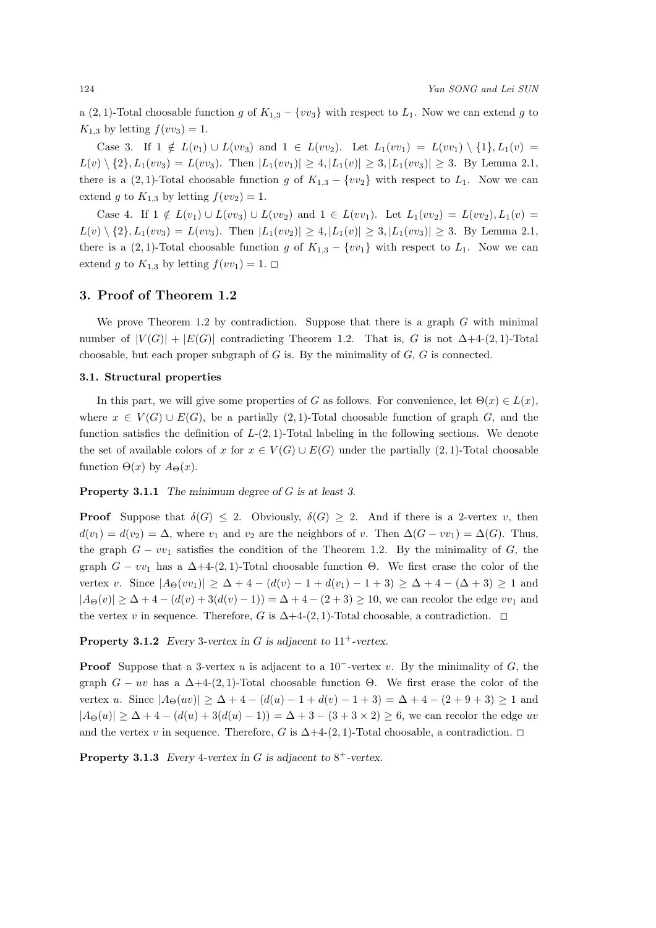a (2, 1)-Total choosable function *g* of  $K_{1,3} - \{vv_3\}$  with respect to  $L_1$ . Now we can extend *g* to  $K_{1,3}$  by letting  $f(vv_3) = 1$ .

Case 3. If 1  $\notin L(v_1) \cup L(v_2)$  and 1 ∈  $L(v_2)$ . Let  $L_1(v_1) = L(v_1) \setminus \{1\}, L_1(v) =$  $L(v) \setminus \{2\}, L_1(vv_3) = L(vv_3)$ . Then  $|L_1(vv_1)| \geq 4, |L_1(v)| \geq 3, |L_1(vv_3)| \geq 3$ . By Lemma 2.1, there is a (2, 1)-Total choosable function *g* of  $K_{1,3} - \{vv_2\}$  with respect to  $L_1$ . Now we can extend *g* to  $K_{1,3}$  by letting  $f(vv_2) = 1$ .

Case 4. If 1  $\notin L(v_1) \cup L(vv_3) \cup L(vv_2)$  and 1 ∈  $L(v_1)$ . Let  $L_1(vv_2) = L(vv_2)$ ,  $L_1(v) =$  $L(v) \setminus \{2\}, L_1(vv_3) = L(vv_3)$ . Then  $|L_1(vv_2)| \ge 4, |L_1(v)| \ge 3, |L_1(vv_3)| \ge 3$ . By Lemma 2.1, there is a  $(2, 1)$ -Total choosable function *g* of  $K_{1,3} - \{vv_1\}$  with respect to  $L_1$ . Now we can extend *g* to  $K_{1,3}$  by letting  $f(vv_1) = 1$ .

#### **3. Proof of Theorem 1.2**

We prove Theorem 1.2 by contradiction. Suppose that there is a graph *G* with minimal number of  $|V(G)| + |E(G)|$  contradicting Theorem 1.2. That is, *G* is not  $\Delta+4$ -(2*,* 1)-Total choosable, but each proper subgraph of *G* is. By the minimality of *G*, *G* is connected.

## **3.1. Structural properties**

In this part, we will give some properties of *G* as follows. For convenience, let  $\Theta(x) \in L(x)$ , where  $x \in V(G) \cup E(G)$ , be a partially (2, 1)-Total choosable function of graph G, and the function satisfies the definition of  $L$ -(2, 1)-Total labeling in the following sections. We denote the set of available colors of *x* for  $x \in V(G) \cup E(G)$  under the partially (2, 1)-Total choosable function  $\Theta(x)$  by  $A_{\Theta}(x)$ .

**Property 3.1.1** *The minimum degree of G is at least 3.*

**Proof** Suppose that  $\delta(G) \leq 2$ . Obviously,  $\delta(G) \geq 2$ . And if there is a 2-vertex *v*, then  $d(v_1) = d(v_2) = \Delta$ , where  $v_1$  and  $v_2$  are the neighbors of *v*. Then  $\Delta(G - v v_1) = \Delta(G)$ . Thus, the graph  $G - v v_1$  satisfies the condition of the Theorem 1.2. By the minimality of  $G$ , the graph  $G - v v_1$  has a  $\Delta + 4$ -(2,1)-Total choosable function  $\Theta$ . We first erase the color of the vertex *v*. Since *|A*Θ(*vv*1)*| ≥* ∆ + 4 *−* (*d*(*v*) *−* 1 + *d*(*v*1) *−* 1 + 3) *≥* ∆ + 4 *−* (∆ + 3) *≥* 1 and  $|A_{\Theta}(v)| \geq \Delta + 4 - (d(v) + 3(d(v) - 1)) = \Delta + 4 - (2 + 3) \geq 10$ , we can recolor the edge *vv*<sub>1</sub> and the vertex *v* in sequence. Therefore, *G* is  $\Delta+4-(2,1)$ -Total choosable, a contradiction.  $\square$ 

**Property 3.1.2** *Every* 3-vertex in *G* is adjacent to  $11^+$ -vertex.

**Proof** Suppose that a 3-vertex *u* is adjacent to a 10*−*-vertex *v*. By the minimality of *G*, the graph  $G - uv$  has a  $\Delta + 4-(2, 1)$ -Total choosable function  $\Theta$ . We first erase the color of the vertex *u*. Since  $|A_{\Theta}(uv)| \geq \Delta + 4 - (d(u) - 1 + d(v) - 1 + 3) = \Delta + 4 - (2 + 9 + 3) \geq 1$  and  $|A_{\Theta}(u)| \geq \Delta + 4 - (d(u) + 3(d(u) - 1)) = \Delta + 3 - (3 + 3 \times 2) \geq 6$ , we can recolor the edge *uv* and the vertex *v* in sequence. Therefore, *G* is  $\Delta+4-(2,1)$ -Total choosable, a contradiction.  $\Box$ 

**Property 3.1.3** *Every* 4-vertex in  $G$  is adjacent to  $8^+$ -vertex.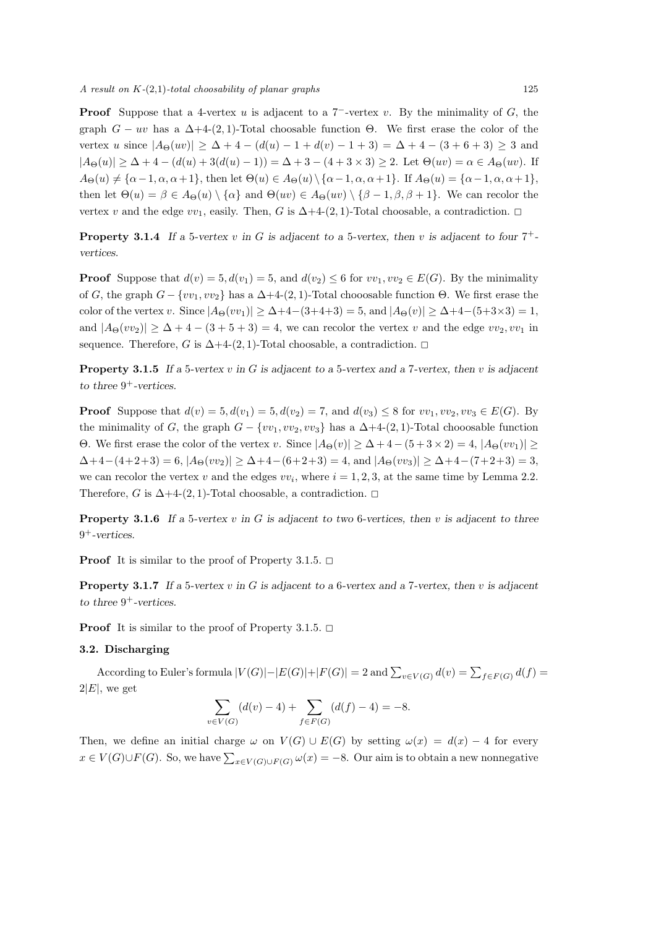**Proof** Suppose that a 4-vertex *u* is adjacent to a 7*−*-vertex *v*. By the minimality of *G*, the graph  $G - uv$  has a  $\Delta + 4-(2, 1)$ -Total choosable function  $\Theta$ . We first erase the color of the vertex *u* since  $|A_{\Theta}(uv)| \geq \Delta + 4 - (d(u) - 1 + d(v) - 1 + 3) = \Delta + 4 - (3 + 6 + 3) \geq 3$  and  $|A_{\Theta}(u)| \geq \Delta + 4 - (d(u) + 3(d(u) - 1)) = \Delta + 3 - (4 + 3 \times 3) \geq 2$ . Let  $\Theta(uv) = \alpha \in A_{\Theta}(uv)$ . If  $A_{\Theta}(u) \neq {\alpha-1, \alpha, \alpha+1}$ , then let  $\Theta(u) \in A_{\Theta}(u) \setminus {\alpha-1, \alpha, \alpha+1}$ . If  $A_{\Theta}(u) = {\alpha-1, \alpha, \alpha+1}$ , then let  $\Theta(u) = \beta \in A_{\Theta}(u) \setminus \{\alpha\}$  and  $\Theta(uv) \in A_{\Theta}(uv) \setminus \{\beta - 1, \beta, \beta + 1\}$ . We can recolor the vertex *v* and the edge  $vv_1$ , easily. Then, *G* is  $\Delta+4-(2,1)$ -Total choosable, a contradiction.  $\Box$ 

**Property 3.1.4** If a 5-vertex  $v$  in  $G$  is adjacent to a 5-vertex, then  $v$  is adjacent to four  $7^+$ *vertices.*

**Proof** Suppose that  $d(v) = 5$ ,  $d(v_1) = 5$ , and  $d(v_2) \leq 6$  for  $vv_1, vv_2 \in E(G)$ . By the minimality of *G*, the graph  $G - \{vv_1, vv_2\}$  has a  $\Delta + 4-(2, 1)$ -Total chooosable function  $\Theta$ . We first erase the color of the vertex *v*. Since  $|A_{\Theta}(vv_1)| \ge \Delta + 4 - (3+4+3) = 5$ , and  $|A_{\Theta}(v)| \ge \Delta + 4 - (5+3\times3) = 1$ , and  $|A_{\Theta}(vv_2)| \geq \Delta + 4 - (3 + 5 + 3) = 4$ , we can recolor the vertex *v* and the edge  $vv_2, vv_1$  in sequence. Therefore, *G* is  $\Delta$ +4-(2, 1)-Total choosable, a contradiction.  $\Box$ 

**Property 3.1.5** *If a* 5*-vertex v in G is adjacent to a* 5*-vertex and a* 7*-vertex, then v is adjacent to three* 9 <sup>+</sup>*-vertices.*

**Proof** Suppose that  $d(v) = 5, d(v_1) = 5, d(v_2) = 7$ , and  $d(v_3) \leq 8$  for  $vv_1, vv_2, vv_3 \in E(G)$ . By the minimality of *G*, the graph  $G - \{vv_1, vv_2, vv_3\}$  has a  $\Delta + 4-(2, 1)$ -Total chooosable function Θ. We first erase the color of the vertex *v*. Since  $|A_{\Theta}(v)| \geq \Delta + 4 - (5 + 3 \times 2) = 4$ ,  $|A_{\Theta}(vv_1)| \geq$  $\Delta+4-(4+2+3) = 6$ ,  $|A_{\Theta}(vv_2)| \ge \Delta+4-(6+2+3) = 4$ , and  $|A_{\Theta}(vv_3)| \ge \Delta+4-(7+2+3) = 3$ , we can recolor the vertex *v* and the edges  $vv_i$ , where  $i = 1, 2, 3$ , at the same time by Lemma 2.2. Therefore, *G* is  $\Delta + 4-(2, 1)$ -Total choosable, a contradiction.  $\Box$ 

**Property 3.1.6** *If a* 5*-vertex v in G is adjacent to two* 6*-vertices, then v is adjacent to three* 9 <sup>+</sup>*-vertices.*

**Proof** It is similar to the proof of Property 3.1.5.  $\Box$ 

**Property 3.1.7** *If a* 5*-vertex v in G is adjacent to a* 6*-vertex and a* 7*-vertex, then v is adjacent to three* 9 <sup>+</sup>*-vertices.*

**Proof** It is similar to the proof of Property 3.1.5.  $\Box$ 

#### **3.2. Discharging**

According to Euler's formula  $|V(G)|-|E(G)|+|F(G)|=2$  and  $\sum_{v\in V(G)}d(v)=\sum_{f\in F(G)}d(f)=$  $2|E|$ , we get

$$
\sum_{v \in V(G)} (d(v) - 4) + \sum_{f \in F(G)} (d(f) - 4) = -8.
$$

Then, we define an initial charge  $\omega$  on  $V(G) \cup E(G)$  by setting  $\omega(x) = d(x) - 4$  for every *x* ∈ *V*(*G*)∪*F*(*G*). So, we have  $\sum_{x \in V(G) \cup F(G)} \omega(x) = -8$ . Our aim is to obtain a new nonnegative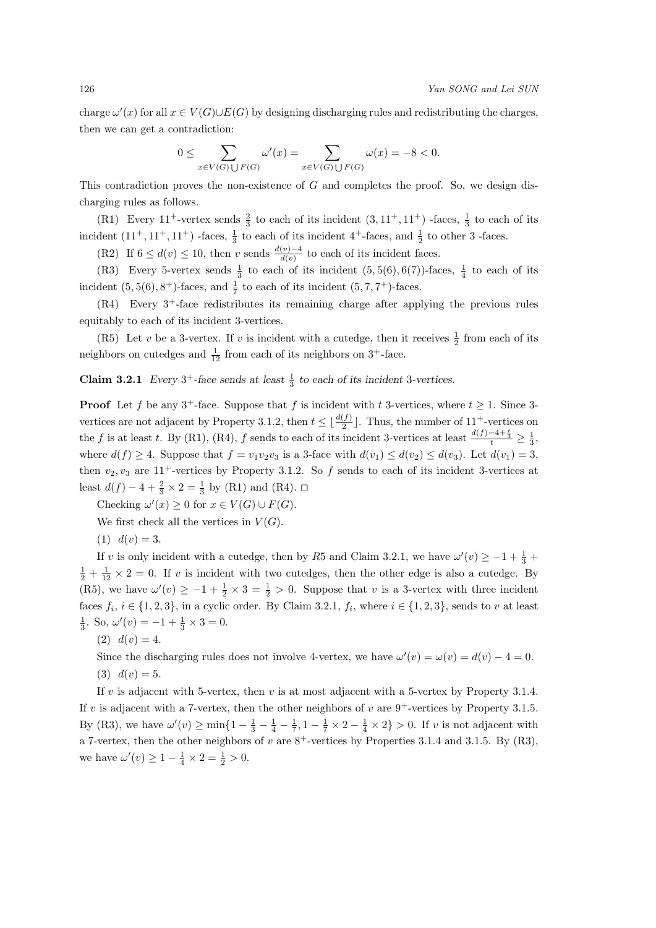charge  $\omega'(x)$  for all  $x \in V(G) \cup E(G)$  by designing discharging rules and redistributing the charges, then we can get a contradiction:

$$
0\leq \sum_{x\in V(G)\bigcup F(G)}\omega'(x)=\sum_{x\in V(G)\bigcup F(G)}\omega(x)=-8<0.
$$

This contradiction proves the non-existence of *G* and completes the proof. So, we design discharging rules as follows.

(R1) Every  $11^+$ -vertex sends  $\frac{2}{3}$  to each of its incident  $(3, 11^+, 11^+)$  -faces,  $\frac{1}{3}$  to each of its incident  $(11^+, 11^+, 11^+)$  -faces,  $\frac{1}{3}$  to each of its incident  $4^+$ -faces, and  $\frac{1}{2}$  to other 3 -faces.

(R2) If  $6 \leq d(v) \leq 10$ , then *v* sends  $\frac{d(v)-4}{d(v)}$  to each of its incident faces.

(R3) Every 5-vertex sends  $\frac{1}{3}$  to each of its incident  $(5, 5(6), 6(7))$ -faces,  $\frac{1}{4}$  to each of its incident  $(5, 5(6), 8^+)$ -faces, and  $\frac{1}{7}$  to each of its incident  $(5, 7, 7^+)$ -faces.

(R4) Every 3<sup>+</sup>-face redistributes its remaining charge after applying the previous rules equitably to each of its incident 3-vertices.

(R5) Let *v* be a 3-vertex. If *v* is incident with a cutedge, then it receives  $\frac{1}{2}$  from each of its neighbors on cutedges and  $\frac{1}{12}$  from each of its neighbors on 3<sup>+</sup>-face.

**Claim 3.2.1** *Every*  $3^+$ *-face sends at least*  $\frac{1}{3}$  *to each of its incident* 3*-vertices.* 

**Proof** Let *f* be any 3<sup>+</sup>-face. Suppose that *f* is incident with *t* 3-vertices, where  $t \ge 1$ . Since 3vertices are not adjacent by Property 3.1.2, then  $t \leq \lfloor \frac{d(f)}{2} \rfloor$ . Thus, the number of 11<sup>+</sup>-vertices on the *f* is at least *t*. By (R1), (R4), *f* sends to each of its incident 3-vertices at least  $\frac{d(f)-4+\frac{t}{3}}{t} \geq \frac{1}{3}$ , where  $d(f) \geq 4$ . Suppose that  $f = v_1v_2v_3$  is a 3-face with  $d(v_1) \leq d(v_2) \leq d(v_3)$ . Let  $d(v_1) = 3$ , then  $v_2, v_3$  are  $11^+$ -vertices by Property 3.1.2. So  $f$  sends to each of its incident 3-vertices at least  $d(f) - 4 + \frac{2}{3} \times 2 = \frac{1}{3}$  by (R1) and (R4). □

Checking  $\omega'(x) \geq 0$  for  $x \in V(G) \cup F(G)$ .

We first check all the vertices in  $V(G)$ .

 $(1)$   $d(v) = 3.$ 

If *v* is only incident with a cutedge, then by *R*5 and Claim 3.2.1, we have  $\omega'(v) \ge -1 + \frac{1}{3} + \frac{1}{2}$  $\frac{1}{2} + \frac{1}{12} \times 2 = 0$ . If *v* is incident with two cutedges, then the other edge is also a cutedge. By (R5), we have  $\omega'(v) \geq -1 + \frac{1}{2} \times 3 = \frac{1}{2} > 0$ . Suppose that *v* is a 3-vertex with three incident faces  $f_i$ ,  $i \in \{1, 2, 3\}$ , in a cyclic order. By Claim 3.2.1,  $f_i$ , where  $i \in \{1, 2, 3\}$ , sends to *v* at least  $\frac{1}{3}$ . So,  $\omega'(v) = -1 + \frac{1}{3} \times 3 = 0$ .

 $(2)$   $d(v) = 4.$ 

Since the discharging rules does not involve 4-vertex, we have  $\omega'(v) = \omega(v) = d(v) - 4 = 0$ . (3)  $d(v) = 5$ .

If *v* is adjacent with 5-vertex, then *v* is at most adjacent with a 5-vertex by Property 3.1.4. If *v* is adjacent with a 7-vertex, then the other neighbors of *v* are  $9^+$ -vertices by Property 3.1.5. By (R3), we have  $\omega'(v) \ge \min\{1 - \frac{1}{3} - \frac{1}{4} - \frac{1}{7}, 1 - \frac{1}{7} \times 2 - \frac{1}{4} \times 2\} > 0$ . If *v* is not adjacent with a 7-vertex, then the other neighbors of  $v$  are  $8^+$ -vertices by Properties 3.1.4 and 3.1.5. By (R3), we have  $\omega'(v) \ge 1 - \frac{1}{4} \times 2 = \frac{1}{2} > 0$ .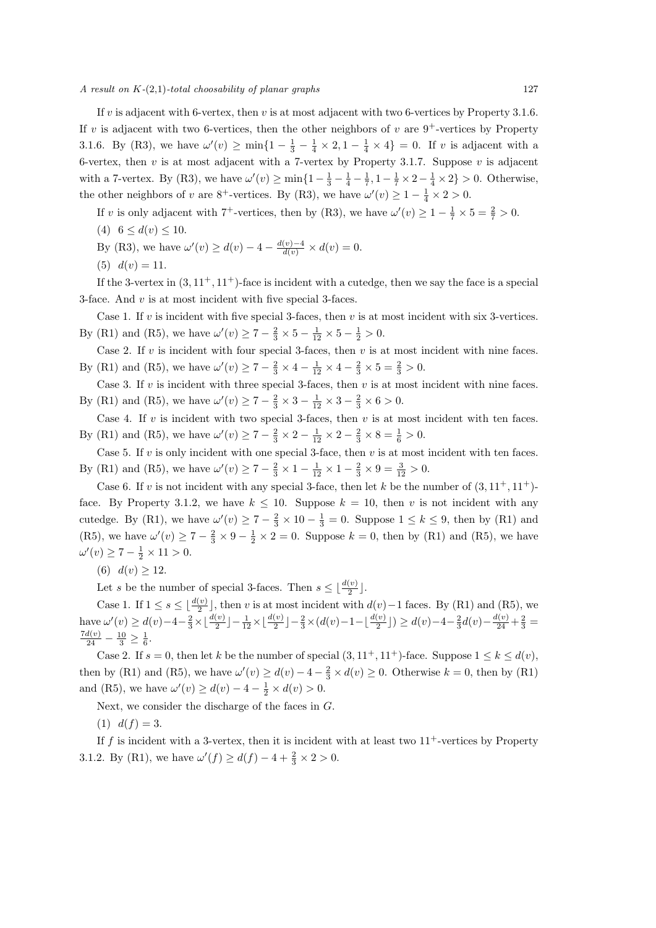*A result on K-*(2*,*1)*-total choosability of planar graphs* 127

If *v* is adjacent with 6-vertex, then *v* is at most adjacent with two 6-vertices by Property 3.1.6. If *v* is adjacent with two 6-vertices, then the other neighbors of *v* are  $9^+$ -vertices by Property 3.1.6. By (R3), we have  $\omega'(v) \ge \min\{1 - \frac{1}{3} - \frac{1}{4} \times 2, 1 - \frac{1}{4} \times 4\} = 0$ . If *v* is adjacent with a 6-vertex, then *v* is at most adjacent with a 7-vertex by Property 3.1.7. Suppose *v* is adjacent with a 7-vertex. By (R3), we have  $\omega'(v) \ge \min\{1 - \frac{1}{3} - \frac{1}{4} - \frac{1}{7}, 1 - \frac{1}{7} \times 2 - \frac{1}{4} \times 2\} > 0$ . Otherwise, the other neighbors of *v* are  $8^+$ -vertices. By (R3), we have  $\omega'(v) \ge 1 - \frac{1}{4} \times 2 > 0$ .

If *v* is only adjacent with  $7^+$ -vertices, then by (R3), we have  $\omega'(v) \ge 1 - \frac{1}{7} \times 5 = \frac{2}{7} > 0$ .

(4)  $6 \leq d(v) \leq 10$ .

By (R3), we have 
$$
\omega'(v) \ge d(v) - 4 - \frac{d(v) - 4}{d(v)} \times d(v) = 0
$$
.

(5)  $d(v) = 11$ .

If the 3-vertex in  $(3, 11^+, 11^+)$ -face is incident with a cutedge, then we say the face is a special 3-face. And *v* is at most incident with five special 3-faces.

Case 1. If *v* is incident with five special 3-faces, then *v* is at most incident with six 3-vertices. By (R1) and (R5), we have  $\omega'(v) \ge 7 - \frac{2}{3} \times 5 - \frac{1}{12} \times 5 - \frac{1}{2} > 0$ .

Case 2. If *v* is incident with four special 3-faces, then *v* is at most incident with nine faces. By (R1) and (R5), we have  $\omega'(v) \ge 7 - \frac{2}{3} \times 4 - \frac{1}{12} \times 4 - \frac{2}{3} \times 5 = \frac{2}{3} > 0$ .

Case 3. If *v* is incident with three special 3-faces, then *v* is at most incident with nine faces. By (R1) and (R5), we have  $\omega'(v) \ge 7 - \frac{2}{3} \times 3 - \frac{1}{12} \times 3 - \frac{2}{3} \times 6 > 0$ .

Case 4. If *v* is incident with two special 3-faces, then *v* is at most incident with ten faces. By (R1) and (R5), we have  $\omega'(v) \ge 7 - \frac{2}{3} \times 2 - \frac{1}{12} \times 2 - \frac{2}{3} \times 8 = \frac{1}{6} > 0$ .

Case 5. If *v* is only incident with one special 3-face, then *v* is at most incident with ten faces. By (R1) and (R5), we have  $\omega'(v) \ge 7 - \frac{2}{3} \times 1 - \frac{1}{12} \times 1 - \frac{2}{3} \times 9 = \frac{3}{12} > 0$ .

Case 6. If *v* is not incident with any special 3-face, then let *k* be the number of  $(3, 11^+, 11^+)$ face. By Property 3.1.2, we have  $k \leq 10$ . Suppose  $k = 10$ , then *v* is not incident with any cutedge. By (R1), we have  $\omega'(v) \ge 7 - \frac{2}{3} \times 10 - \frac{1}{3} = 0$ . Suppose  $1 \le k \le 9$ , then by (R1) and (R5), we have  $\omega'(v) \ge 7 - \frac{2}{3} \times 9 - \frac{1}{2} \times 2 = 0$ . Suppose  $k = 0$ , then by (R1) and (R5), we have  $\omega'(v) \geq 7 - \frac{1}{2} \times 11 > 0.$ 

(6)  $d(v) \ge 12$ .

Let *s* be the number of special 3-faces. Then  $s \leq \lfloor \frac{d(v)}{2} \rfloor$ .

Case 1. If  $1 \le s \le \lfloor \frac{d(v)}{2} \rfloor$ , then *v* is at most incident with  $d(v) - 1$  faces. By (R1) and (R5), we have  $\omega'(v) \ge d(v) - 4 - \frac{2}{3} \times \lfloor \frac{d(v)}{2} \rfloor - \frac{1}{12} \times \lfloor \frac{d(v)}{2} \rfloor - \frac{2}{3} \times (d(v) - 1 - \lfloor \frac{d(v)}{2} \rfloor) \ge d(v) - 4 - \frac{2}{3}d(v) - \frac{d(v)}{24} + \frac{2}{3} =$  $\frac{7d(v)}{24} - \frac{10}{3} \ge \frac{1}{6}.$ 

Case 2. If  $s = 0$ , then let  $k$  be the number of special  $(3, 11^+, 11^+)$ -face. Suppose  $1 \leq k \leq d(v)$ , then by (R1) and (R5), we have  $\omega'(v) \ge d(v) - 4 - \frac{2}{3} \times d(v) \ge 0$ . Otherwise  $k = 0$ , then by (R1) and (R5), we have  $\omega'(v) \ge d(v) - 4 - \frac{1}{2} \times d(v) > 0$ .

Next, we consider the discharge of the faces in *G*.

 $(1)$   $d(f) = 3.$ 

If  $f$  is incident with a 3-vertex, then it is incident with at least two  $11<sup>+</sup>$ -vertices by Property 3.1.2. By (R1), we have  $\omega'(f) \ge d(f) - 4 + \frac{2}{3} \times 2 > 0$ .